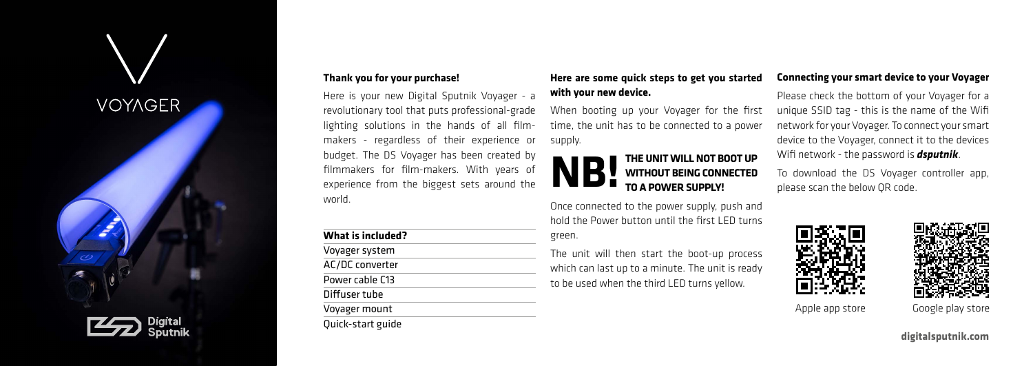## **VOYAGER**



## **Thank you for your purchase!**

Here is your new Digital Sputnik Voyager - a revolutionary tool that puts professional-grade lighting solutions in the hands of all filmmakers - regardless of their experience or budget. The DS Voyager has been created by filmmakers for film-makers. With years of experience from the biggest sets around the world.

| What is included? |  |
|-------------------|--|
| Voyager system    |  |
| AC/DC converter   |  |
| Power cable C13   |  |
| Diffuser tube     |  |
| Voyager mount     |  |
| Quick-start guide |  |

## **Here are some quick steps to get you started with your new device.**

When booting up your Voyager for the first time, the unit has to be connected to a power supply.



Once connected to the power supply, push and hold the Power button until the first LED turns green.

The unit will then start the boot-up process which can last up to a minute. The unit is ready to be used when the third LED turns yellow.

## **Connecting your smart device to your Voyager**

Please check the bottom of your Voyager for a unique SSID tag - this is the name of the Wifi network for your Voyager. To connect your smart device to the Voyager, connect it to the devices Wifi network - the password is *dsputnik*.

To download the DS Voyager controller app, please scan the below QR code.





Apple app store Google play store

**digitalsputnik.com**